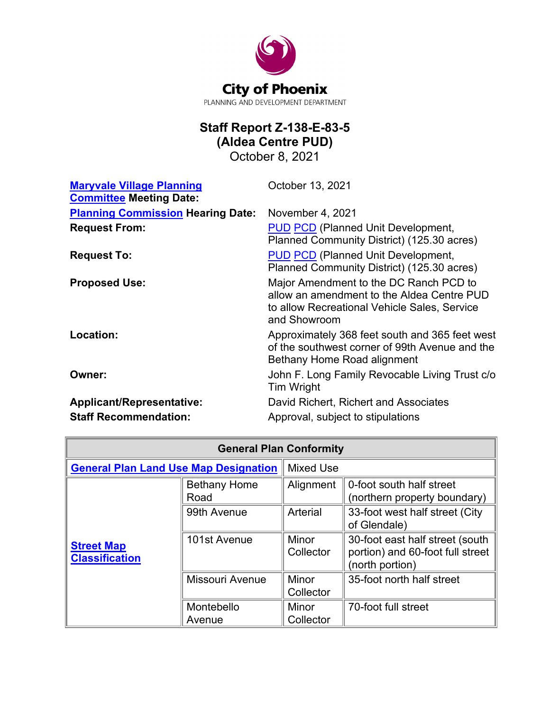

# **Staff Report Z-138-E-83-5 (Aldea Centre PUD)**

October 8, 2021

| <b>Maryvale Village Planning</b><br><b>Committee Meeting Date:</b> | October 13, 2021                                                                                                                                     |  |
|--------------------------------------------------------------------|------------------------------------------------------------------------------------------------------------------------------------------------------|--|
| <b>Planning Commission Hearing Date:</b>                           | November 4, 2021                                                                                                                                     |  |
| <b>Request From:</b>                                               | <b>PUD PCD</b> (Planned Unit Development,<br>Planned Community District) (125.30 acres)                                                              |  |
| <b>Request To:</b>                                                 | <b>PUD PCD</b> (Planned Unit Development,<br>Planned Community District) (125.30 acres)                                                              |  |
| <b>Proposed Use:</b>                                               | Major Amendment to the DC Ranch PCD to<br>allow an amendment to the Aldea Centre PUD<br>to allow Recreational Vehicle Sales, Service<br>and Showroom |  |
| Location:                                                          | Approximately 368 feet south and 365 feet west<br>of the southwest corner of 99th Avenue and the<br>Bethany Home Road alignment                      |  |
| Owner:                                                             | John F. Long Family Revocable Living Trust c/o<br>Tim Wright                                                                                         |  |
| <b>Applicant/Representative:</b>                                   | David Richert, Richert and Associates                                                                                                                |  |
| <b>Staff Recommendation:</b>                                       | Approval, subject to stipulations                                                                                                                    |  |

| <b>General Plan Conformity</b>               |                             |                    |                                                                                        |  |  |  |
|----------------------------------------------|-----------------------------|--------------------|----------------------------------------------------------------------------------------|--|--|--|
| <b>General Plan Land Use Map Designation</b> |                             | <b>Mixed Use</b>   |                                                                                        |  |  |  |
| <b>Street Map</b><br><b>Classification</b>   | <b>Bethany Home</b><br>Road | Alignment          | 0-foot south half street<br>(northern property boundary)                               |  |  |  |
|                                              | 99th Avenue                 | Arterial           | 33-foot west half street (City<br>of Glendale)                                         |  |  |  |
|                                              | 101st Avenue                | Minor<br>Collector | 30-foot east half street (south<br>portion) and 60-foot full street<br>(north portion) |  |  |  |
|                                              | Missouri Avenue             | Minor<br>Collector | 35-foot north half street                                                              |  |  |  |
|                                              | Montebello<br>Avenue        | Minor<br>Collector | 70-foot full street                                                                    |  |  |  |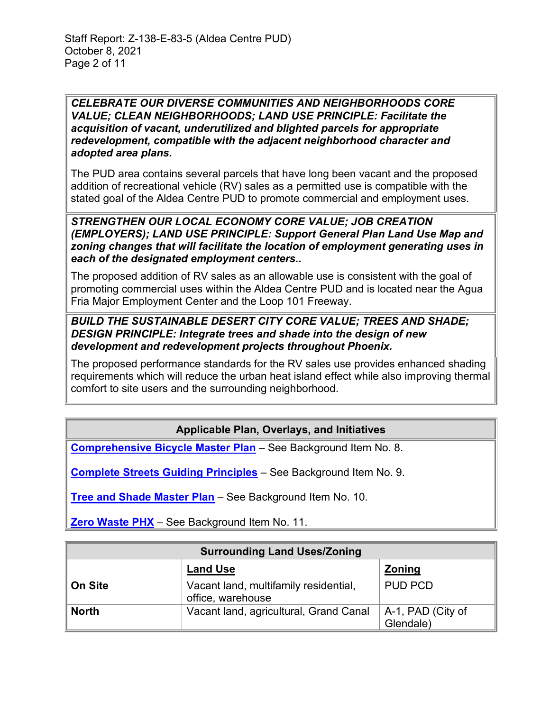*CELEBRATE OUR DIVERSE COMMUNITIES AND NEIGHBORHOODS CORE VALUE; CLEAN NEIGHBORHOODS; LAND USE PRINCIPLE: Facilitate the acquisition of vacant, underutilized and blighted parcels for appropriate redevelopment, compatible with the adjacent neighborhood character and adopted area plans.*

The PUD area contains several parcels that have long been vacant and the proposed addition of recreational vehicle (RV) sales as a permitted use is compatible with the stated goal of the Aldea Centre PUD to promote commercial and employment uses.

*STRENGTHEN OUR LOCAL ECONOMY CORE VALUE; JOB CREATION (EMPLOYERS); LAND USE PRINCIPLE: Support General Plan Land Use Map and zoning changes that will facilitate the location of employment generating uses in each of the designated employment centers..*

The proposed addition of RV sales as an allowable use is consistent with the goal of promoting commercial uses within the Aldea Centre PUD and is located near the Agua Fria Major Employment Center and the Loop 101 Freeway.

#### *BUILD THE SUSTAINABLE DESERT CITY CORE VALUE; TREES AND SHADE; DESIGN PRINCIPLE: Integrate trees and shade into the design of new development and redevelopment projects throughout Phoenix.*

The proposed performance standards for the RV sales use provides enhanced shading requirements which will reduce the urban heat island effect while also improving thermal comfort to site users and the surrounding neighborhood.

# **Applicable Plan, Overlays, and Initiatives**

**[Comprehensive Bicycle Master Plan](https://www.phoenix.gov/streetssite/Documents/Bicycle%20Master%20Plan/2014bikePHX_Final_web.pdf)** – See Background Item No. 8.

**[Complete Streets Guiding Principles](https://www.phoenix.gov/streets/complete-streets-program)** – See Background Item No. 9.

**[Tree and Shade Master Plan](https://www.phoenix.gov/parkssite/Documents/PKS_Forestry/PKS_Forestry_Tree_and_Shade_Master_Plan.pdf)** – See Background Item No. 10.

**[Zero Waste PHX](https://www.phoenix.gov/publicworks/reimagine)** – See Background Item No. 11.

| <b>Surrounding Land Uses/Zoning</b> |                                                            |                                |  |  |
|-------------------------------------|------------------------------------------------------------|--------------------------------|--|--|
|                                     | <b>Land Use</b>                                            | <b>Zoning</b>                  |  |  |
| On Site                             | Vacant land, multifamily residential,<br>office, warehouse | <b>PUD PCD</b>                 |  |  |
| <b>North</b>                        | Vacant land, agricultural, Grand Canal                     | A-1, PAD (City of<br>Glendale) |  |  |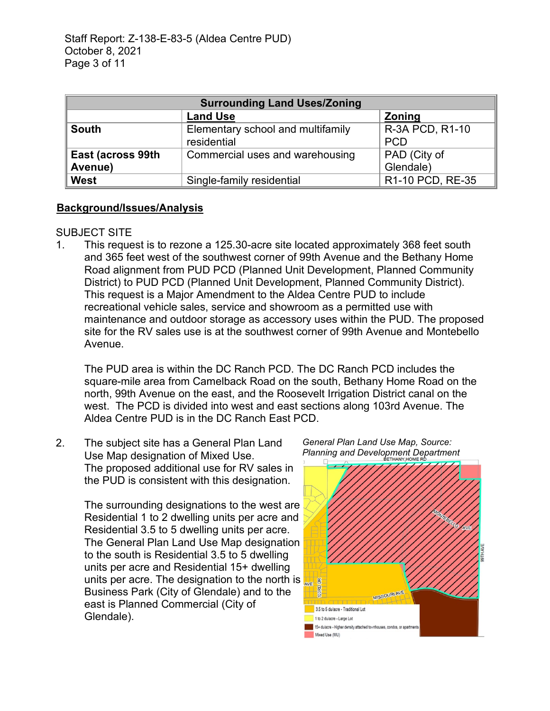| <b>Surrounding Land Uses/Zoning</b> |                                                  |                                  |  |  |
|-------------------------------------|--------------------------------------------------|----------------------------------|--|--|
|                                     | <b>Land Use</b>                                  | <b>Zoning</b>                    |  |  |
| <b>South</b>                        | Elementary school and multifamily<br>residential | R-3A PCD, R1-10<br><b>PCD</b>    |  |  |
| East (across 99th<br>Avenue)        | Commercial uses and warehousing                  | <b>PAD</b> (City of<br>Glendale) |  |  |
| <b>West</b>                         | Single-family residential                        | R1-10 PCD, RE-35                 |  |  |

#### **Background/Issues/Analysis**

#### SUBJECT SITE

1. This request is to rezone a 125.30-acre site located approximately 368 feet south and 365 feet west of the southwest corner of 99th Avenue and the Bethany Home Road alignment from PUD PCD (Planned Unit Development, Planned Community District) to PUD PCD (Planned Unit Development, Planned Community District). This request is a Major Amendment to the Aldea Centre PUD to include recreational vehicle sales, service and showroom as a permitted use with maintenance and outdoor storage as accessory uses within the PUD. The proposed site for the RV sales use is at the southwest corner of 99th Avenue and Montebello Avenue.

The PUD area is within the DC Ranch PCD. The DC Ranch PCD includes the square-mile area from Camelback Road on the south, Bethany Home Road on the north, 99th Avenue on the east, and the Roosevelt Irrigation District canal on the west. The PCD is divided into west and east sections along 103rd Avenue. The Aldea Centre PUD is in the DC Ranch East PCD.

2. The subject site has a General Plan Land Use Map designation of Mixed Use. The proposed additional use for RV sales in the PUD is consistent with this designation.

> The surrounding designations to the west are Residential 1 to 2 dwelling units per acre and Residential 3.5 to 5 dwelling units per acre. The General Plan Land Use Map designation to the south is Residential 3.5 to 5 dwelling units per acre and Residential 15+ dwelling units per acre. The designation to the north is Business Park (City of Glendale) and to the east is Planned Commercial (City of Glendale).



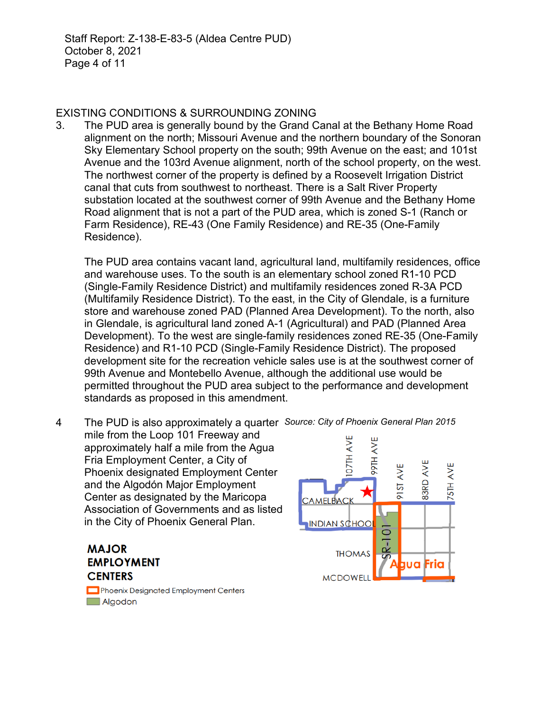# EXISTING CONDITIONS & SURROUNDING ZONING

3. The PUD area is generally bound by the Grand Canal at the Bethany Home Road alignment on the north; Missouri Avenue and the northern boundary of the Sonoran Sky Elementary School property on the south; 99th Avenue on the east; and 101st Avenue and the 103rd Avenue alignment, north of the school property, on the west. The northwest corner of the property is defined by a Roosevelt Irrigation District canal that cuts from southwest to northeast. There is a Salt River Property substation located at the southwest corner of 99th Avenue and the Bethany Home Road alignment that is not a part of the PUD area, which is zoned S-1 (Ranch or Farm Residence), RE-43 (One Family Residence) and RE-35 (One-Family Residence).

The PUD area contains vacant land, agricultural land, multifamily residences, office and warehouse uses. To the south is an elementary school zoned R1-10 PCD (Single-Family Residence District) and multifamily residences zoned R-3A PCD (Multifamily Residence District). To the east, in the City of Glendale, is a furniture store and warehouse zoned PAD (Planned Area Development). To the north, also in Glendale, is agricultural land zoned A-1 (Agricultural) and PAD (Planned Area Development). To the west are single-family residences zoned RE-35 (One-Family Residence) and R1-10 PCD (Single-Family Residence District). The proposed development site for the recreation vehicle sales use is at the southwest corner of 99th Avenue and Montebello Avenue, although the additional use would be permitted throughout the PUD area subject to the performance and development standards as proposed in this amendment.

4 The PUD is also approximately a quarter *Source: City of Phoenix General Plan 2015*mile from the Loop 101 Freeway and **D7TH AVE** AVE approximately half a mile from the Agua **HI66** Fria Employment Center, a City of **B3RD AVE** AVE 75TH AVE Phoenix designated Employment Center  $\overline{5}$ and the Algodón Major Employment  $\overline{\infty}$ Center as designated by the Maricopa **CAMELBACK** Association of Governments and as listed in the City of Phoenix General Plan. **INDIAN SCHOO** 

# **MAJOR EMPLOYMENT CENTERS**

Phoenix Designated Employment Centers Algodon

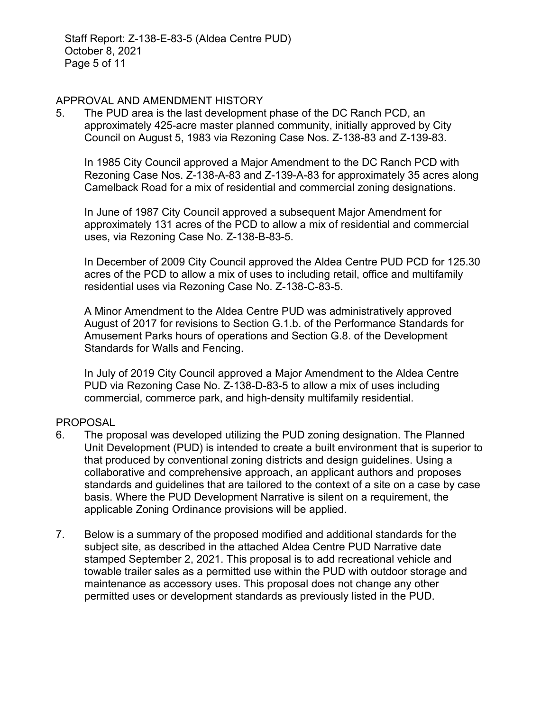#### APPROVAL AND AMENDMENT HISTORY

5. The PUD area is the last development phase of the DC Ranch PCD, an approximately 425-acre master planned community, initially approved by City Council on August 5, 1983 via Rezoning Case Nos. Z-138-83 and Z-139-83.

In 1985 City Council approved a Major Amendment to the DC Ranch PCD with Rezoning Case Nos. Z-138-A-83 and Z-139-A-83 for approximately 35 acres along Camelback Road for a mix of residential and commercial zoning designations.

In June of 1987 City Council approved a subsequent Major Amendment for approximately 131 acres of the PCD to allow a mix of residential and commercial uses, via Rezoning Case No. Z-138-B-83-5.

In December of 2009 City Council approved the Aldea Centre PUD PCD for 125.30 acres of the PCD to allow a mix of uses to including retail, office and multifamily residential uses via Rezoning Case No. Z-138-C-83-5.

A Minor Amendment to the Aldea Centre PUD was administratively approved August of 2017 for revisions to Section G.1.b. of the Performance Standards for Amusement Parks hours of operations and Section G.8. of the Development Standards for Walls and Fencing.

In July of 2019 City Council approved a Major Amendment to the Aldea Centre PUD via Rezoning Case No. Z-138-D-83-5 to allow a mix of uses including commercial, commerce park, and high-density multifamily residential.

# PROPOSAL

- 6. The proposal was developed utilizing the PUD zoning designation. The Planned Unit Development (PUD) is intended to create a built environment that is superior to that produced by conventional zoning districts and design guidelines. Using a collaborative and comprehensive approach, an applicant authors and proposes standards and guidelines that are tailored to the context of a site on a case by case basis. Where the PUD Development Narrative is silent on a requirement, the applicable Zoning Ordinance provisions will be applied.
- 7. Below is a summary of the proposed modified and additional standards for the subject site, as described in the attached Aldea Centre PUD Narrative date stamped September 2, 2021. This proposal is to add recreational vehicle and towable trailer sales as a permitted use within the PUD with outdoor storage and maintenance as accessory uses. This proposal does not change any other permitted uses or development standards as previously listed in the PUD.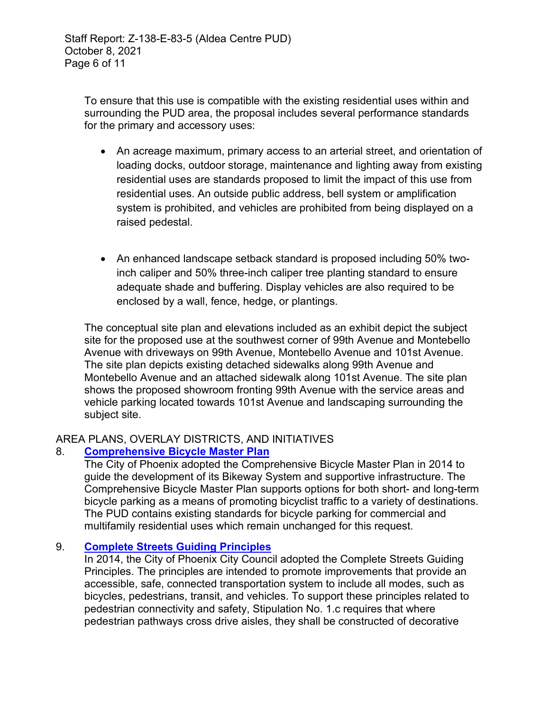To ensure that this use is compatible with the existing residential uses within and surrounding the PUD area, the proposal includes several performance standards for the primary and accessory uses:

- An acreage maximum, primary access to an arterial street, and orientation of loading docks, outdoor storage, maintenance and lighting away from existing residential uses are standards proposed to limit the impact of this use from residential uses. An outside public address, bell system or amplification system is prohibited, and vehicles are prohibited from being displayed on a raised pedestal.
- An enhanced landscape setback standard is proposed including 50% twoinch caliper and 50% three-inch caliper tree planting standard to ensure adequate shade and buffering. Display vehicles are also required to be enclosed by a wall, fence, hedge, or plantings.

The conceptual site plan and elevations included as an exhibit depict the subject site for the proposed use at the southwest corner of 99th Avenue and Montebello Avenue with driveways on 99th Avenue, Montebello Avenue and 101st Avenue. The site plan depicts existing detached sidewalks along 99th Avenue and Montebello Avenue and an attached sidewalk along 101st Avenue. The site plan shows the proposed showroom fronting 99th Avenue with the service areas and vehicle parking located towards 101st Avenue and landscaping surrounding the subject site.

# AREA PLANS, OVERLAY DISTRICTS, AND INITIATIVES

# 8. **[Comprehensive Bicycle Master Plan](https://www.phoenix.gov/streetssite/Documents/Bicycle%20Master%20Plan/2014bikePHX_Final_web.pdf)**

The City of Phoenix adopted the Comprehensive Bicycle Master Plan in 2014 to guide the development of its Bikeway System and supportive infrastructure. The Comprehensive Bicycle Master Plan supports options for both short- and long-term bicycle parking as a means of promoting bicyclist traffic to a variety of destinations. The PUD contains existing standards for bicycle parking for commercial and multifamily residential uses which remain unchanged for this request.

# 9. **[Complete Streets Guiding Principles](https://www.phoenix.gov/streetssite/Documents/CSDG_FINAL_CC_APPROVED.pdf)**

In 2014, the City of Phoenix City Council adopted the Complete Streets Guiding Principles. The principles are intended to promote improvements that provide an accessible, safe, connected transportation system to include all modes, such as bicycles, pedestrians, transit, and vehicles. To support these principles related to pedestrian connectivity and safety, Stipulation No. 1.c requires that where pedestrian pathways cross drive aisles, they shall be constructed of decorative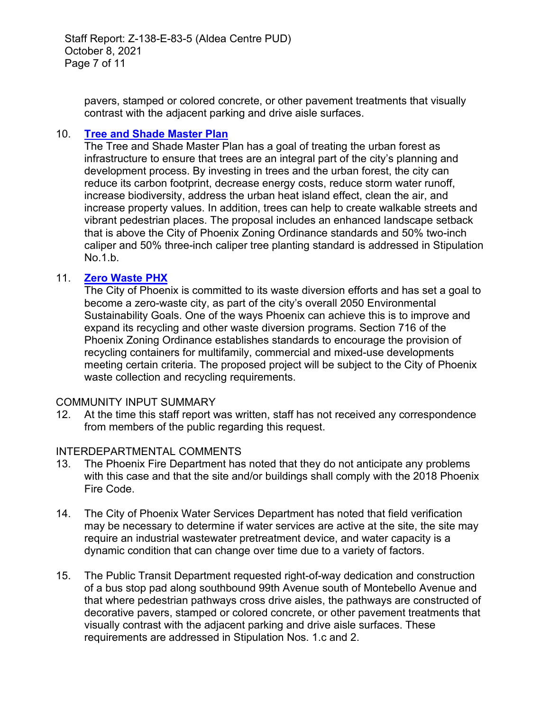Staff Report: Z-138-E-83-5 (Aldea Centre PUD) October 8, 2021 Page 7 of 11

pavers, stamped or colored concrete, or other pavement treatments that visually contrast with the adjacent parking and drive aisle surfaces.

#### 10. **[Tree and Shade Master Plan](https://www.phoenix.gov/parkssite/Documents/PKS_Forestry/PKS_Forestry_Tree_and_Shade_Master_Plan.pdf)**

The Tree and Shade Master Plan has a goal of treating the urban forest as infrastructure to ensure that trees are an integral part of the city's planning and development process. By investing in trees and the urban forest, the city can reduce its carbon footprint, decrease energy costs, reduce storm water runoff, increase biodiversity, address the urban heat island effect, clean the air, and increase property values. In addition, trees can help to create walkable streets and vibrant pedestrian places. The proposal includes an enhanced landscape setback that is above the City of Phoenix Zoning Ordinance standards and 50% two-inch caliper and 50% three-inch caliper tree planting standard is addressed in Stipulation No.1.b.

#### 11. **[Zero Waste PHX](https://www.phoenix.gov/publicworks/reimagine)**

The City of Phoenix is committed to its waste diversion efforts and has set a goal to become a zero-waste city, as part of the city's overall 2050 Environmental Sustainability Goals. One of the ways Phoenix can achieve this is to improve and expand its recycling and other waste diversion programs. Section 716 of the Phoenix Zoning Ordinance establishes standards to encourage the provision of recycling containers for multifamily, commercial and mixed-use developments meeting certain criteria. The proposed project will be subject to the City of Phoenix waste collection and recycling requirements.

#### COMMUNITY INPUT SUMMARY

12. At the time this staff report was written, staff has not received any correspondence from members of the public regarding this request.

#### INTERDEPARTMENTAL COMMENTS

- 13. The Phoenix Fire Department has noted that they do not anticipate any problems with this case and that the site and/or buildings shall comply with the 2018 Phoenix Fire Code.
- 14. The City of Phoenix Water Services Department has noted that field verification may be necessary to determine if water services are active at the site, the site may require an industrial wastewater pretreatment device, and water capacity is a dynamic condition that can change over time due to a variety of factors.
- 15. The Public Transit Department requested right-of-way dedication and construction of a bus stop pad along southbound 99th Avenue south of Montebello Avenue and that where pedestrian pathways cross drive aisles, the pathways are constructed of decorative pavers, stamped or colored concrete, or other pavement treatments that visually contrast with the adjacent parking and drive aisle surfaces. These requirements are addressed in Stipulation Nos. 1.c and 2.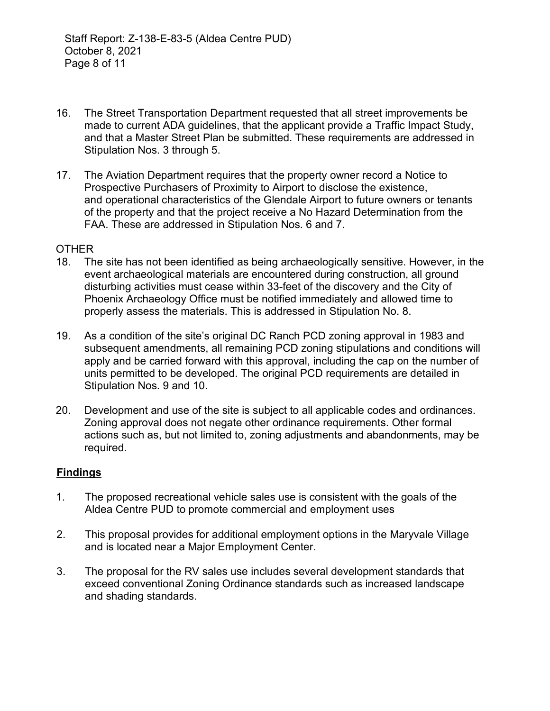- 16. The Street Transportation Department requested that all street improvements be made to current ADA guidelines, that the applicant provide a Traffic Impact Study, and that a Master Street Plan be submitted. These requirements are addressed in Stipulation Nos. 3 through 5.
- 17. The Aviation Department requires that the property owner record a Notice to Prospective Purchasers of Proximity to Airport to disclose the existence, and operational characteristics of the Glendale Airport to future owners or tenants of the property and that the project receive a No Hazard Determination from the FAA. These are addressed in Stipulation Nos. 6 and 7.

#### **OTHER**

- 18. The site has not been identified as being archaeologically sensitive. However, in the event archaeological materials are encountered during construction, all ground disturbing activities must cease within 33-feet of the discovery and the City of Phoenix Archaeology Office must be notified immediately and allowed time to properly assess the materials. This is addressed in Stipulation No. 8.
- 19. As a condition of the site's original DC Ranch PCD zoning approval in 1983 and subsequent amendments, all remaining PCD zoning stipulations and conditions will apply and be carried forward with this approval, including the cap on the number of units permitted to be developed. The original PCD requirements are detailed in Stipulation Nos. 9 and 10.
- 20. Development and use of the site is subject to all applicable codes and ordinances. Zoning approval does not negate other ordinance requirements. Other formal actions such as, but not limited to, zoning adjustments and abandonments, may be required.

#### **Findings**

- 1. The proposed recreational vehicle sales use is consistent with the goals of the Aldea Centre PUD to promote commercial and employment uses
- 2. This proposal provides for additional employment options in the Maryvale Village and is located near a Major Employment Center.
- 3. The proposal for the RV sales use includes several development standards that exceed conventional Zoning Ordinance standards such as increased landscape and shading standards.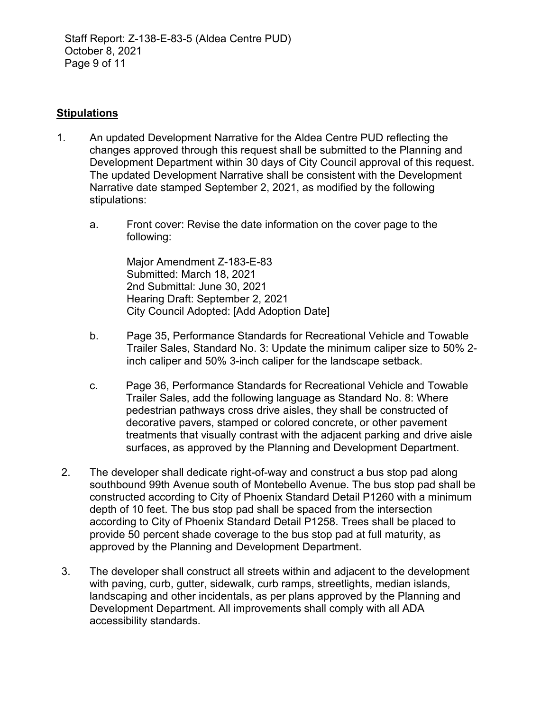#### **Stipulations**

- 1. An updated Development Narrative for the Aldea Centre PUD reflecting the changes approved through this request shall be submitted to the Planning and Development Department within 30 days of City Council approval of this request. The updated Development Narrative shall be consistent with the Development Narrative date stamped September 2, 2021, as modified by the following stipulations:
	- a. Front cover: Revise the date information on the cover page to the following:

Major Amendment Z-183-E-83 Submitted: March 18, 2021 2nd Submittal: June 30, 2021 Hearing Draft: September 2, 2021 City Council Adopted: [Add Adoption Date]

- b. Page 35, Performance Standards for Recreational Vehicle and Towable Trailer Sales, Standard No. 3: Update the minimum caliper size to 50% 2 inch caliper and 50% 3-inch caliper for the landscape setback.
- c. Page 36, Performance Standards for Recreational Vehicle and Towable Trailer Sales, add the following language as Standard No. 8: Where pedestrian pathways cross drive aisles, they shall be constructed of decorative pavers, stamped or colored concrete, or other pavement treatments that visually contrast with the adjacent parking and drive aisle surfaces, as approved by the Planning and Development Department.
- 2. The developer shall dedicate right-of-way and construct a bus stop pad along southbound 99th Avenue south of Montebello Avenue. The bus stop pad shall be constructed according to City of Phoenix Standard Detail P1260 with a minimum depth of 10 feet. The bus stop pad shall be spaced from the intersection according to City of Phoenix Standard Detail P1258. Trees shall be placed to provide 50 percent shade coverage to the bus stop pad at full maturity, as approved by the Planning and Development Department.
- 3. The developer shall construct all streets within and adjacent to the development with paving, curb, gutter, sidewalk, curb ramps, streetlights, median islands, landscaping and other incidentals, as per plans approved by the Planning and Development Department. All improvements shall comply with all ADA accessibility standards.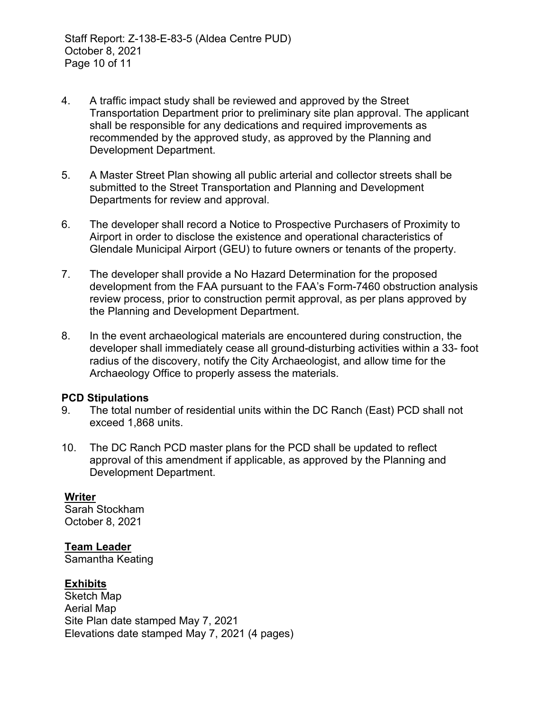- 4. A traffic impact study shall be reviewed and approved by the Street Transportation Department prior to preliminary site plan approval. The applicant shall be responsible for any dedications and required improvements as recommended by the approved study, as approved by the Planning and Development Department.
- 5. A Master Street Plan showing all public arterial and collector streets shall be submitted to the Street Transportation and Planning and Development Departments for review and approval.
- 6. The developer shall record a Notice to Prospective Purchasers of Proximity to Airport in order to disclose the existence and operational characteristics of Glendale Municipal Airport (GEU) to future owners or tenants of the property.
- 7. The developer shall provide a No Hazard Determination for the proposed development from the FAA pursuant to the FAA's Form-7460 obstruction analysis review process, prior to construction permit approval, as per plans approved by the Planning and Development Department.
- 8. In the event archaeological materials are encountered during construction, the developer shall immediately cease all ground-disturbing activities within a 33- foot radius of the discovery, notify the City Archaeologist, and allow time for the Archaeology Office to properly assess the materials.

#### **PCD Stipulations**

- 9. The total number of residential units within the DC Ranch (East) PCD shall not exceed 1,868 units.
- 10. The DC Ranch PCD master plans for the PCD shall be updated to reflect approval of this amendment if applicable, as approved by the Planning and Development Department.

# **Writer**

Sarah Stockham October 8, 2021

# **Team Leader**

Samantha Keating

# **Exhibits**

Sketch Map Aerial Map Site Plan date stamped May 7, 2021 Elevations date stamped May 7, 2021 (4 pages)